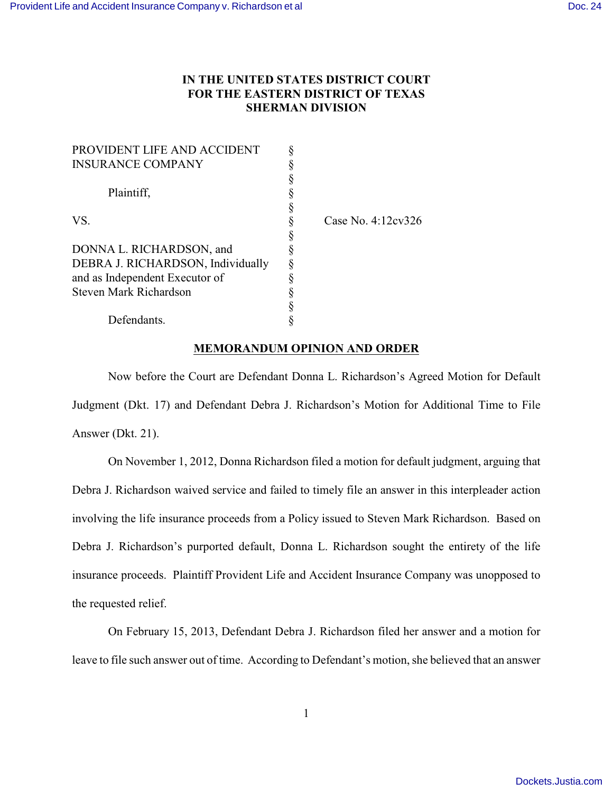## **IN THE UNITED STATES DISTRICT COURT FOR THE EASTERN DISTRICT OF TEXAS SHERMAN DIVISION**

| PROVIDENT LIFE AND ACCIDENT       |                    |
|-----------------------------------|--------------------|
| <b>INSURANCE COMPANY</b>          |                    |
|                                   |                    |
| Plaintiff.                        |                    |
|                                   |                    |
| VS.                               | Case No. 4:12cv326 |
|                                   |                    |
| DONNA L. RICHARDSON, and          |                    |
| DEBRA J. RICHARDSON, Individually |                    |
| and as Independent Executor of    |                    |
| Steven Mark Richardson            |                    |
|                                   |                    |
| Defendants.                       |                    |

## **MEMORANDUM OPINION AND ORDER**

Now before the Court are Defendant Donna L. Richardson's Agreed Motion for Default Judgment (Dkt. 17) and Defendant Debra J. Richardson's Motion for Additional Time to File Answer (Dkt. 21).

On November 1, 2012, Donna Richardson filed a motion for default judgment, arguing that Debra J. Richardson waived service and failed to timely file an answer in this interpleader action involving the life insurance proceeds from a Policy issued to Steven Mark Richardson. Based on Debra J. Richardson's purported default, Donna L. Richardson sought the entirety of the life insurance proceeds. Plaintiff Provident Life and Accident Insurance Company was unopposed to the requested relief.

On February 15, 2013, Defendant Debra J. Richardson filed her answer and a motion for leave to file such answer out of time. According to Defendant's motion, she believed that an answer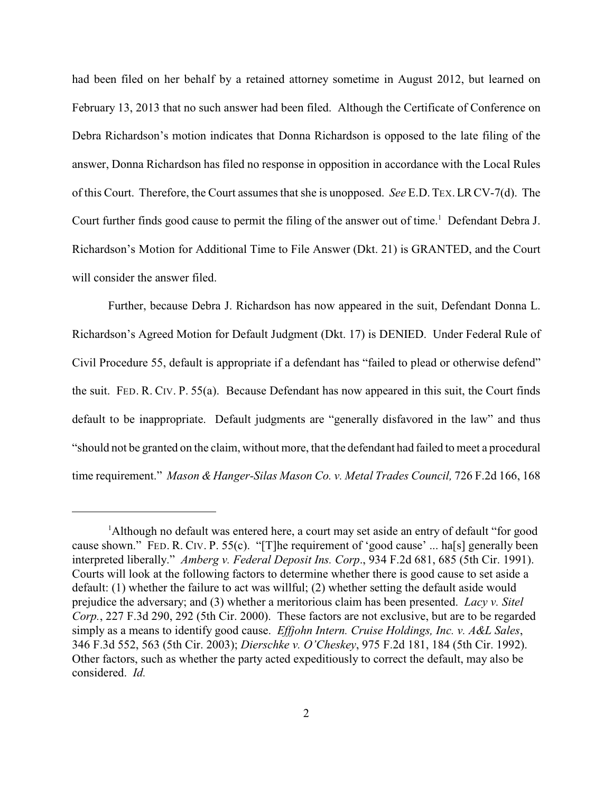had been filed on her behalf by a retained attorney sometime in August 2012, but learned on February 13, 2013 that no such answer had been filed. Although the Certificate of Conference on Debra Richardson's motion indicates that Donna Richardson is opposed to the late filing of the answer, Donna Richardson has filed no response in opposition in accordance with the Local Rules of this Court. Therefore, the Court assumes that she is unopposed. *See* E.D.TEX.LRCV-7(d). The Court further finds good cause to permit the filing of the answer out of time.<sup>1</sup> Defendant Debra J. Richardson's Motion for Additional Time to File Answer (Dkt. 21) is GRANTED, and the Court will consider the answer filed.

Further, because Debra J. Richardson has now appeared in the suit, Defendant Donna L. Richardson's Agreed Motion for Default Judgment (Dkt. 17) is DENIED. Under Federal Rule of Civil Procedure 55, default is appropriate if a defendant has "failed to plead or otherwise defend" the suit. FED. R. CIV. P. 55(a). Because Defendant has now appeared in this suit, the Court finds default to be inappropriate. Default judgments are "generally disfavored in the law" and thus "should not be granted on the claim, without more, that the defendant had failed to meet a procedural time requirement." *Mason & Hanger-Silas Mason Co. v. Metal Trades Council,* 726 F.2d 166, 168

<sup>&</sup>lt;sup>1</sup>Although no default was entered here, a court may set aside an entry of default "for good cause shown." FED. R. CIV. P. 55(c). "[T]he requirement of 'good cause' ... ha[s] generally been interpreted liberally." *Amberg v. Federal Deposit Ins. Corp*., 934 F.2d 681, 685 (5th Cir. 1991). Courts will look at the following factors to determine whether there is good cause to set aside a default: (1) whether the failure to act was willful; (2) whether setting the default aside would prejudice the adversary; and (3) whether a meritorious claim has been presented. *Lacy v. Sitel Corp.*, 227 F.3d 290, 292 (5th Cir. 2000). These factors are not exclusive, but are to be regarded simply as a means to identify good cause. *Effjohn Intern. Cruise Holdings, Inc. v. A&L Sales*, 346 F.3d 552, 563 (5th Cir. 2003); *Dierschke v. O'Cheskey*, 975 F.2d 181, 184 (5th Cir. 1992). Other factors, such as whether the party acted expeditiously to correct the default, may also be considered. *Id.*